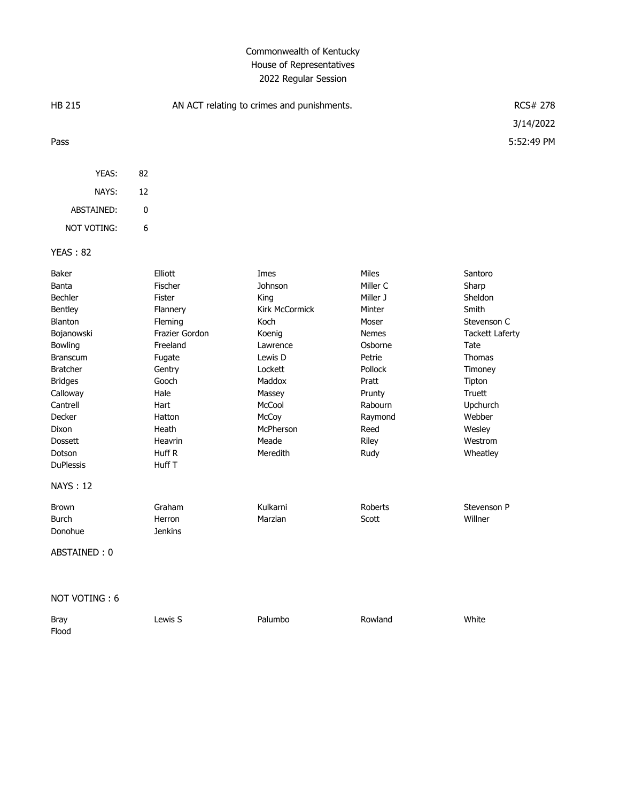## Commonwealth of Kentucky House of Representatives 2022 Regular Session

| <b>HB 215</b>                                                                                                                                                                                                                      |    | AN ACT relating to crimes and punishments.                                                                                                                                       | <b>RCS# 278</b><br>3/14/2022                                                                                                                                           |                                                                                                                                                                    |                                                                                                                                                                                              |
|------------------------------------------------------------------------------------------------------------------------------------------------------------------------------------------------------------------------------------|----|----------------------------------------------------------------------------------------------------------------------------------------------------------------------------------|------------------------------------------------------------------------------------------------------------------------------------------------------------------------|--------------------------------------------------------------------------------------------------------------------------------------------------------------------|----------------------------------------------------------------------------------------------------------------------------------------------------------------------------------------------|
| Pass                                                                                                                                                                                                                               |    |                                                                                                                                                                                  |                                                                                                                                                                        |                                                                                                                                                                    | 5:52:49 PM                                                                                                                                                                                   |
| YEAS:                                                                                                                                                                                                                              | 82 |                                                                                                                                                                                  |                                                                                                                                                                        |                                                                                                                                                                    |                                                                                                                                                                                              |
| NAYS:                                                                                                                                                                                                                              | 12 |                                                                                                                                                                                  |                                                                                                                                                                        |                                                                                                                                                                    |                                                                                                                                                                                              |
| ABSTAINED:                                                                                                                                                                                                                         | 0  |                                                                                                                                                                                  |                                                                                                                                                                        |                                                                                                                                                                    |                                                                                                                                                                                              |
| <b>NOT VOTING:</b>                                                                                                                                                                                                                 | 6  |                                                                                                                                                                                  |                                                                                                                                                                        |                                                                                                                                                                    |                                                                                                                                                                                              |
| <b>YEAS: 82</b>                                                                                                                                                                                                                    |    |                                                                                                                                                                                  |                                                                                                                                                                        |                                                                                                                                                                    |                                                                                                                                                                                              |
| Baker<br>Banta<br>Bechler<br>Bentley<br><b>Blanton</b><br>Bojanowski<br>Bowling<br><b>Branscum</b><br><b>Bratcher</b><br><b>Bridges</b><br>Calloway<br>Cantrell<br>Decker<br>Dixon<br><b>Dossett</b><br>Dotson<br><b>DuPlessis</b> |    | Elliott<br>Fischer<br>Fister<br>Flannery<br>Fleming<br>Frazier Gordon<br>Freeland<br>Fugate<br>Gentry<br>Gooch<br>Hale<br>Hart<br>Hatton<br>Heath<br>Heavrin<br>Huff R<br>Huff T | Imes<br>Johnson<br>King<br>Kirk McCormick<br>Koch<br>Koenig<br>Lawrence<br>Lewis D<br>Lockett<br>Maddox<br>Massey<br>McCool<br>McCoy<br>McPherson<br>Meade<br>Meredith | Miles<br>Miller C<br>Miller J<br>Minter<br>Moser<br><b>Nemes</b><br>Osborne<br>Petrie<br>Pollock<br>Pratt<br>Prunty<br>Rabourn<br>Raymond<br>Reed<br>Riley<br>Rudy | Santoro<br>Sharp<br>Sheldon<br>Smith<br>Stevenson C<br><b>Tackett Laferty</b><br>Tate<br><b>Thomas</b><br>Timoney<br>Tipton<br>Truett<br>Upchurch<br>Webber<br>Wesley<br>Westrom<br>Wheatley |
| <b>NAYS: 12</b>                                                                                                                                                                                                                    |    |                                                                                                                                                                                  |                                                                                                                                                                        |                                                                                                                                                                    |                                                                                                                                                                                              |
| <b>Brown</b><br><b>Burch</b><br>Donohue<br>ABSTAINED: 0                                                                                                                                                                            |    | Graham<br>Herron<br><b>Jenkins</b>                                                                                                                                               | Kulkarni<br>Marzian                                                                                                                                                    | Roberts<br>Scott                                                                                                                                                   | Stevenson P<br>Willner                                                                                                                                                                       |

NOT VOTING : 6

| Bray  | ∟ewis S | Palumbo | Rowland | White |
|-------|---------|---------|---------|-------|
| Flood |         |         |         |       |